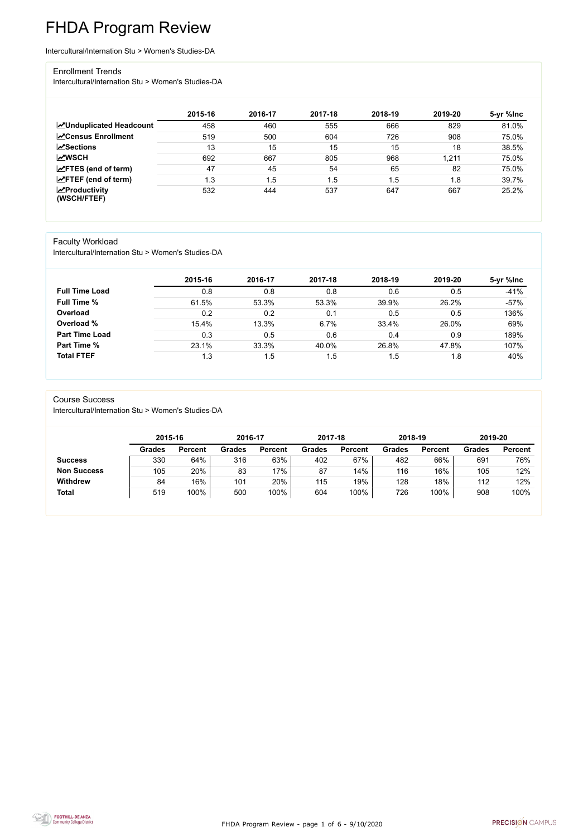FHDA Program Review - page 1 of 6 - 9/10/2020



# FHDA Program Review

Intercultural/Internation Stu > Women's Studies-DA

#### Enrollment Trends

Intercultural/Internation Stu > Women's Studies-DA

|                                    | 2015-16 | 2016-17 | 2017-18 | 2018-19 | 2019-20 | 5-yr %lnc |
|------------------------------------|---------|---------|---------|---------|---------|-----------|
| <b>ZUnduplicated Headcount</b>     | 458     | 460     | 555     | 666     | 829     | 81.0%     |
| <b>ZCensus Enrollment</b>          | 519     | 500     | 604     | 726     | 908     | 75.0%     |
| <b>∠Sections</b>                   | 13      | 15      | 15      | 15      | 18      | 38.5%     |
| <b>MWSCH</b>                       | 692     | 667     | 805     | 968     | 1,211   | 75.0%     |
| $\angle$ FTES (end of term)        | 47      | 45      | 54      | 65      | 82      | 75.0%     |
| $\angle$ FTEF (end of term)        | 1.3     | .5      | 1.5     | 1.5     | 1.8     | 39.7%     |
| $\chi$ Productivity<br>(WSCH/FTEF) | 532     | 444     | 537     | 647     | 667     | 25.2%     |

### Faculty Workload

Intercultural/Internation Stu > Women's Studies-DA

|                       | 2015-16 | 2016-17 | 2017-18 | 2018-19 | 2019-20 | 5-yr %lnc |
|-----------------------|---------|---------|---------|---------|---------|-----------|
| <b>Full Time Load</b> | 0.8     | 0.8     | 0.8     | 0.6     | 0.5     | $-41%$    |
| <b>Full Time %</b>    | 61.5%   | 53.3%   | 53.3%   | 39.9%   | 26.2%   | $-57%$    |
| Overload              | 0.2     | 0.2     | 0.1     | 0.5     | 0.5     | 136%      |
| Overload %            | 15.4%   | 13.3%   | 6.7%    | 33.4%   | 26.0%   | 69%       |
| <b>Part Time Load</b> | 0.3     | 0.5     | 0.6     | 0.4     | 0.9     | 189%      |
| <b>Part Time %</b>    | 23.1%   | 33.3%   | 40.0%   | 26.8%   | 47.8%   | 107%      |
| <b>Total FTEF</b>     | 1.3     | 1.5     | 1.5     | .5      | 1.8     | 40%       |

#### Course Success

Intercultural/Internation Stu > Women's Studies-DA

|                    | 2015-16       |                | 2016-17       |                | 2017-18       |                | 2018-19       |                | 2019-20       |                |
|--------------------|---------------|----------------|---------------|----------------|---------------|----------------|---------------|----------------|---------------|----------------|
|                    | <b>Grades</b> | <b>Percent</b> | <b>Grades</b> | <b>Percent</b> | <b>Grades</b> | <b>Percent</b> | <b>Grades</b> | <b>Percent</b> | <b>Grades</b> | <b>Percent</b> |
| <b>Success</b>     | 330           | 64%            | 316           | 63%            | 402           | 67%            | 482           | 66%            | 691           | 76%            |
| <b>Non Success</b> | 105           | 20%            | 83            | 17%            | 87            | 14%            | 116           | 16%            | 105           | 12%            |
| <b>Withdrew</b>    | 84            | 16%            | 101           | 20%            | 115           | 19%            | 128           | 18%            | 112           | 12%            |
| <b>Total</b>       | 519           | 100%           | 500           | 100%           | 604           | 100%           | 726           | 100%           | 908           | 100%           |

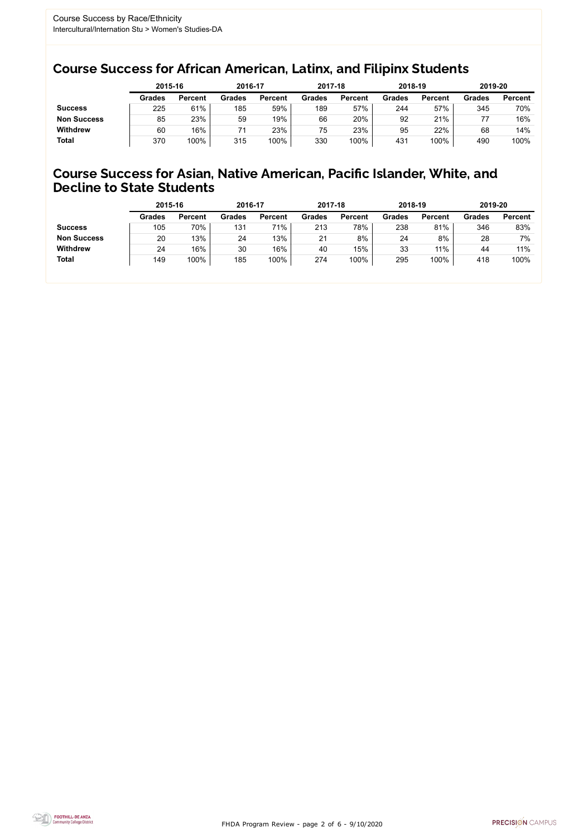FHDA Program Review - page 2 of 6 - 9/10/2020



### Course Success for African American, Latinx, and Filipinx Students

### Course Success for Asian, Native American, Pacific Islander, White, and Decline to State Students

|                    | 2015-16       |                | 2016-17       |                | 2017-18       |                | 2018-19       |                | 2019-20       |                |
|--------------------|---------------|----------------|---------------|----------------|---------------|----------------|---------------|----------------|---------------|----------------|
|                    | <b>Grades</b> | <b>Percent</b> | <b>Grades</b> | <b>Percent</b> | <b>Grades</b> | <b>Percent</b> | <b>Grades</b> | <b>Percent</b> | <b>Grades</b> | <b>Percent</b> |
| <b>Success</b>     | 225           | 61%            | 185           | 59%            | 189           | 57%            | 244           | 57%            | 345           | 70%            |
| <b>Non Success</b> | 85            | 23%            | 59            | 19%            | 66            | 20%            | 92            | 21%            |               | 16%            |
| <b>Withdrew</b>    | 60            | 16%            |               | 23%            | 75            | 23%            | 95            | 22%            | 68            | 14%            |
| <b>Total</b>       | 370           | 100%           | 315           | 100%           | 330           | 100%           | 431           | 100%           | 490           | 100%           |

|                    | 2015-16       |                | 2016-17       |                | 2017-18       |                | 2018-19       |                | 2019-20       |                |
|--------------------|---------------|----------------|---------------|----------------|---------------|----------------|---------------|----------------|---------------|----------------|
|                    | <b>Grades</b> | <b>Percent</b> | <b>Grades</b> | <b>Percent</b> | <b>Grades</b> | <b>Percent</b> | <b>Grades</b> | <b>Percent</b> | <b>Grades</b> | <b>Percent</b> |
| <b>Success</b>     | 105           | 70%            | 131           | 71%            | 213           | 78%            | 238           | 81%            | 346           | 83%            |
| <b>Non Success</b> | 20            | 13%            | 24            | 13%            | 21            | 8%             | 24            | 8%             | 28            | 7%             |
| <b>Withdrew</b>    | 24            | 16%            | 30            | 16%            | 40            | 15%            | 33            | 11%            | 44            | 11%            |
| <b>Total</b>       | 149           | 100%           | 185           | 100%           | 274           | 100%           | 295           | 100%           | 418           | 100%           |
|                    |               |                |               |                |               |                |               |                |               |                |

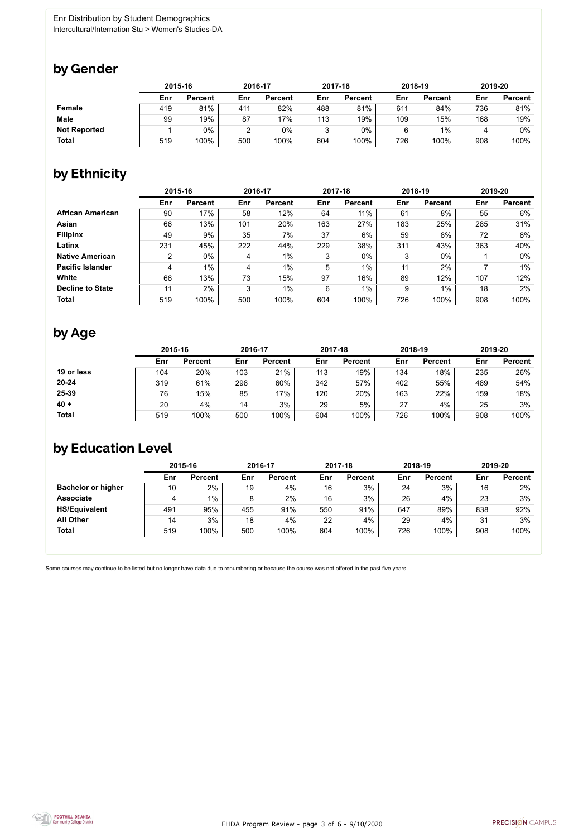

Some courses may continue to be listed but no longer have data due to renumbering or because the course was not offered in the past five years.



## by Gender

|                     | 2015-16 |                |     | 2016-17        |        | 2017-18        | 2018-19 |                | 2019-20 |                |
|---------------------|---------|----------------|-----|----------------|--------|----------------|---------|----------------|---------|----------------|
|                     | Enr     | <b>Percent</b> | Enr | <b>Percent</b> | Enr    | <b>Percent</b> | Enr     | <b>Percent</b> | Enr     | <b>Percent</b> |
| <b>Female</b>       | 419     | 81%            | 411 | 82%            | 488    | 81%            | 611     | 84%            | 736     | 81%            |
| <b>Male</b>         | 99      | 19%            | 87  | $17\%$         | 113    | 19%            | 109     | 15%            | 168     | 19%            |
| <b>Not Reported</b> |         | $0\%$          | ົ   | $0\%$          | ર<br>J | $0\%$          | 6       | $1\%$          |         | 0%             |
| <b>Total</b>        | 519     | 100%           | 500 | 100%           | 604    | 100%           | 726     | 100%           | 908     | 100%           |

## by Ethnicity

|                         | 2015-16        |                |     | 2016-17        |                 | 2017-18        |     | 2018-19        | 2019-20 |                |
|-------------------------|----------------|----------------|-----|----------------|-----------------|----------------|-----|----------------|---------|----------------|
|                         | Enr            | <b>Percent</b> | Enr | <b>Percent</b> | Enr             | <b>Percent</b> | Enr | <b>Percent</b> | Enr     | <b>Percent</b> |
| <b>African American</b> | 90             | 17%            | 58  | 12%            | 64              | 11%            | 61  | 8%             | 55      | 6%             |
| <b>Asian</b>            | 66             | 13%            | 101 | 20%            | 163             | 27%            | 183 | 25%            | 285     | 31%            |
| <b>Filipinx</b>         | 49             | 9%             | 35  | 7%             | 37              | 6%             | 59  | 8%             | 72      | 8%             |
| Latinx                  | 231            | 45%            | 222 | 44%            | 229             | 38%            | 311 | 43%            | 363     | 40%            |
| <b>Native American</b>  | $\overline{2}$ | $0\%$          | 4   | $1\%$          | 3               | $0\%$          | 3   | $0\%$          |         | $0\%$          |
| <b>Pacific Islander</b> | 4              | 1%             | 4   | $1\%$          | 5               | $1\%$          | 11  | 2%             |         | $1\%$          |
| White                   | 66             | 13%            | 73  | 15%            | 97              | 16%            | 89  | 12%            | 107     | 12%            |
| <b>Decline to State</b> | 11             | 2%             | 3   | $1\%$          | $6\phantom{1}6$ | $1\%$          | 9   | $1\%$          | 18      | 2%             |
| <b>Total</b>            | 519            | 100%           | 500 | 100%           | 604             | 100%           | 726 | 100%           | 908     | 100%           |

### by Age

|              | 2015-16 |                |     | 2016-17        |     | 2017-18        | 2018-19 |                | 2019-20 |                |
|--------------|---------|----------------|-----|----------------|-----|----------------|---------|----------------|---------|----------------|
|              | Enr     | <b>Percent</b> | Enr | <b>Percent</b> | Enr | <b>Percent</b> | Enr     | <b>Percent</b> | Enr     | <b>Percent</b> |
| 19 or less   | 104     | 20%            | 103 | 21%            | 113 | 19%            | 134     | 18%            | 235     | 26%            |
| $20 - 24$    | 319     | 61%            | 298 | 60%            | 342 | 57%            | 402     | 55%            | 489     | 54%            |
| 25-39        | 76      | 15%            | 85  | 17%            | 120 | 20%            | 163     | 22%            | 159     | 18%            |
| $40 +$       | 20      | 4%             | 14  | 3%             | 29  | 5%             | 27      | 4%             | 25      | 3%             |
| <b>Total</b> | 519     | 100%           | 500 | 100%           | 604 | 100%           | 726     | 100%           | 908     | 100%           |

## by Education Level

|                           | 2015-16 |                |     | 2016-17        |     | 2017-18        |     | 2018-19        | 2019-20 |                |
|---------------------------|---------|----------------|-----|----------------|-----|----------------|-----|----------------|---------|----------------|
|                           | Enr     | <b>Percent</b> | Enr | <b>Percent</b> | Enr | <b>Percent</b> | Enr | <b>Percent</b> | Enr     | <b>Percent</b> |
| <b>Bachelor or higher</b> | 10      | $2\%$          | 19  | 4%             | 16  | 3%             | 24  | 3%             | 16      | 2%             |
| <b>Associate</b>          | 4       | $1\%$          | 8   | 2%             | 16  | 3%             | 26  | 4%             | 23      | 3%             |
| <b>HS/Equivalent</b>      | 491     | 95%            | 455 | 91%            | 550 | 91%            | 647 | 89%            | 838     | 92%            |
| <b>All Other</b>          | 14      | 3%             | 18  | 4%             | 22  | 4%             | 29  | 4%             | 31      | 3%             |
| <b>Total</b>              | 519     | 100%           | 500 | 100%           | 604 | 100%           | 726 | 100%           | 908     | 100%           |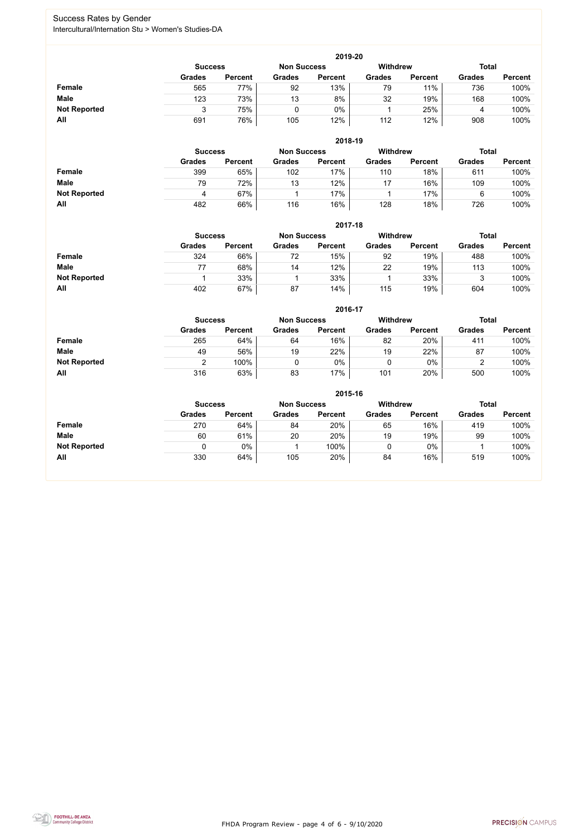FHDA Program Review - page 4 of 6 - 9/10/2020



### Success Rates by Gender Intercultural/Internation Stu > Women's Studies-DA

|                     | 2019-20                                                                 |                |               |                |               |                |               |                |  |  |  |  |  |
|---------------------|-------------------------------------------------------------------------|----------------|---------------|----------------|---------------|----------------|---------------|----------------|--|--|--|--|--|
|                     | <b>Total</b><br><b>Withdrew</b><br><b>Non Success</b><br><b>Success</b> |                |               |                |               |                |               |                |  |  |  |  |  |
|                     | <b>Grades</b>                                                           | <b>Percent</b> | <b>Grades</b> | <b>Percent</b> | <b>Grades</b> | <b>Percent</b> | <b>Grades</b> | <b>Percent</b> |  |  |  |  |  |
| <b>Female</b>       | 565                                                                     | 77%            | 92            | 13%            | 79            | 11%            | 736           | 100%           |  |  |  |  |  |
| <b>Male</b>         | 123                                                                     | 73%            | 13            | 8%             | 32            | 19%            | 168           | 100%           |  |  |  |  |  |
| <b>Not Reported</b> |                                                                         | 75%            |               | $0\%$          |               | 25%            | 4             | 100%           |  |  |  |  |  |
| All                 | 691                                                                     | 76%            | 105           | 12%            | 112           | 12%            | 908           | 100%           |  |  |  |  |  |

|                     |                | 2018-19        |                    |                |                 |                |               |                |  |  |  |  |  |  |
|---------------------|----------------|----------------|--------------------|----------------|-----------------|----------------|---------------|----------------|--|--|--|--|--|--|
|                     | <b>Success</b> |                | <b>Non Success</b> |                | <b>Withdrew</b> |                | <b>Total</b>  |                |  |  |  |  |  |  |
|                     | <b>Grades</b>  | <b>Percent</b> | <b>Grades</b>      | <b>Percent</b> | <b>Grades</b>   | <b>Percent</b> | <b>Grades</b> | <b>Percent</b> |  |  |  |  |  |  |
| <b>Female</b>       | 399            | 65%            | 102                | 17%            | 110             | 18%            | 611           | 100%           |  |  |  |  |  |  |
| <b>Male</b>         | 79             | 72%            | 13                 | 12%            | 17              | 16%            | 109           | 100%           |  |  |  |  |  |  |
| <b>Not Reported</b> | 4              | 67%            |                    | 17%            |                 | 17%            | 6             | 100%           |  |  |  |  |  |  |
| All                 | 482            | 66%            | 116                | 16%            | 128             | 18%            | 726           | 100%           |  |  |  |  |  |  |

|                     |               | 2017-18                              |               |                |               |                |               |                |  |  |  |  |  |  |
|---------------------|---------------|--------------------------------------|---------------|----------------|---------------|----------------|---------------|----------------|--|--|--|--|--|--|
|                     |               | <b>Non Success</b><br><b>Success</b> |               |                |               |                | <b>Total</b>  |                |  |  |  |  |  |  |
|                     | <b>Grades</b> | <b>Percent</b>                       | <b>Grades</b> | <b>Percent</b> | <b>Grades</b> | <b>Percent</b> | <b>Grades</b> | <b>Percent</b> |  |  |  |  |  |  |
| <b>Female</b>       | 324           | 66%                                  | 72            | 15%            | 92            | 19%            | 488           | 100%           |  |  |  |  |  |  |
| <b>Male</b>         | 77            | 68%                                  | 14            | 12%            | 22            | 19%            | 113           | 100%           |  |  |  |  |  |  |
| <b>Not Reported</b> |               | 33%                                  |               | 33%            |               | 33%            | າ<br>ິ        | 100%           |  |  |  |  |  |  |
| All                 | 402           | 67%                                  | 87            | 14%            | 115           | 19%            | 604           | 100%           |  |  |  |  |  |  |

|                     |               | 2016-17        |               |                |                 |                |               |                |  |  |
|---------------------|---------------|----------------|---------------|----------------|-----------------|----------------|---------------|----------------|--|--|
|                     |               | <b>Success</b> |               |                | <b>Withdrew</b> |                | <b>Total</b>  |                |  |  |
|                     | <b>Grades</b> | <b>Percent</b> | <b>Grades</b> | <b>Percent</b> | <b>Grades</b>   | <b>Percent</b> | <b>Grades</b> | <b>Percent</b> |  |  |
| Female              | 265           | 64%            | 64            | 16%            | 82              | 20%            | 411           | 100%           |  |  |
| <b>Male</b>         | 49            | 56%            | 19            | 22%            | 19              | 22%            | 87            | 100%           |  |  |
| <b>Not Reported</b> |               | 100%           |               | 0%             |                 | $0\%$          |               | 100%           |  |  |
| All                 | 316           | 63%            | 83            | 17%            | 101             | 20%            | 500           | 100%           |  |  |

|                     | 2015-16        |                |                    |                |               |                          |               |                |  |
|---------------------|----------------|----------------|--------------------|----------------|---------------|--------------------------|---------------|----------------|--|
|                     | <b>Success</b> |                | <b>Non Success</b> |                |               | Withdrew<br><b>Total</b> |               |                |  |
|                     | <b>Grades</b>  | <b>Percent</b> | <b>Grades</b>      | <b>Percent</b> | <b>Grades</b> | <b>Percent</b>           | <b>Grades</b> | <b>Percent</b> |  |
| Female              | 270            | 64%            | 84                 | 20%            | 65            | 16%                      | 419           | 100%           |  |
| <b>Male</b>         | 60             | 61%            | 20                 | 20%            | 19            | 19%                      | 99            | 100%           |  |
| <b>Not Reported</b> |                | 0%             |                    | 100%           | ν             | $0\%$                    |               | 100%           |  |
| All                 | 330            | 64%            | 105                | 20%            | 84            | 16%                      | 519           | 100%           |  |

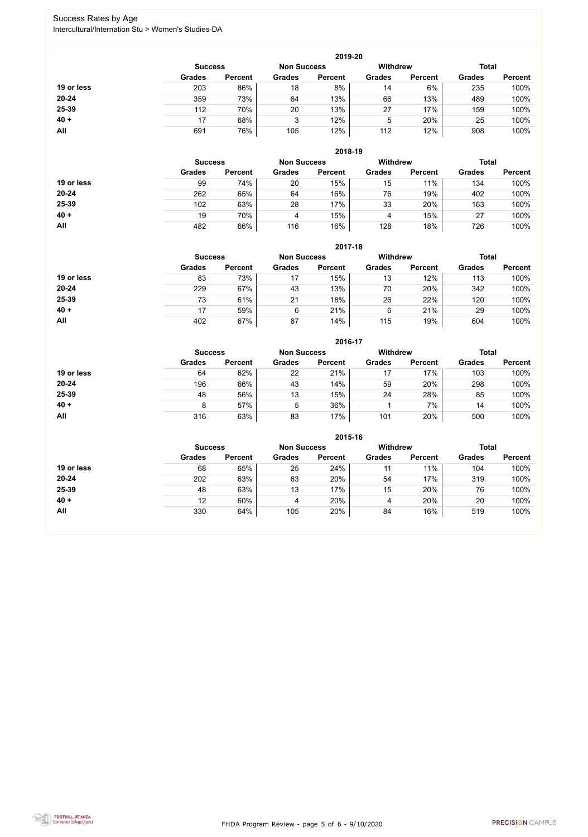FHDA Program Review - page 5 of 6 - 9/10/2020



### Success Rates by Age Intercultural/Internation Stu > Women's Studies-DA

|            |                |                    |               | 2019-20         |               |                |               |                |
|------------|----------------|--------------------|---------------|-----------------|---------------|----------------|---------------|----------------|
|            | <b>Success</b> | <b>Non Success</b> |               | <b>Withdrew</b> |               | <b>Total</b>   |               |                |
|            | <b>Grades</b>  | <b>Percent</b>     | <b>Grades</b> | <b>Percent</b>  | <b>Grades</b> | <b>Percent</b> | <b>Grades</b> | <b>Percent</b> |
| 19 or less | 203            | 86%                | 18            | 8%              | 14            | 6%             | 235           | 100%           |
| 20-24      | 359            | 73%                | 64            | 13%             | 66            | 13%            | 489           | 100%           |
| 25-39      | 112            | 70%                | 20            | 13%             | 27            | 17%            | 159           | 100%           |
| $40 +$     | 17             | 68%                | 3             | 12%             | 5             | 20%            | 25            | 100%           |
| All        | 691            | 76%                | 105           | 12%             | 112           | 12%            | 908           | 100%           |

|            |                |                    |               | 2018-19        |                                 |                |               |                |
|------------|----------------|--------------------|---------------|----------------|---------------------------------|----------------|---------------|----------------|
|            | <b>Success</b> | <b>Non Success</b> |               |                | <b>Withdrew</b><br><b>Total</b> |                |               |                |
|            | <b>Grades</b>  | <b>Percent</b>     | <b>Grades</b> | <b>Percent</b> | <b>Grades</b>                   | <b>Percent</b> | <b>Grades</b> | <b>Percent</b> |
| 19 or less | 99             | 74%                | 20            | 15%            | 15                              | 11%            | 134           | 100%           |
| $20 - 24$  | 262            | 65%                | 64            | 16%            | 76                              | 19%            | 402           | 100%           |
| 25-39      | 102            | 63%                | 28            | 17%            | 33                              | 20%            | 163           | 100%           |
| $40 +$     | 19             | 70%                | 4             | 15%            | 4                               | 15%            | 27            | 100%           |
| All        | 482            | 66%                | 116           | 16%            | 128                             | 18%            | 726           | 100%           |

|            |                                      |                |               | 2017-18        |                 |                |               |                |
|------------|--------------------------------------|----------------|---------------|----------------|-----------------|----------------|---------------|----------------|
|            | <b>Non Success</b><br><b>Success</b> |                |               |                | <b>Withdrew</b> |                | <b>Total</b>  |                |
|            | <b>Grades</b>                        | <b>Percent</b> | <b>Grades</b> | <b>Percent</b> | <b>Grades</b>   | <b>Percent</b> | <b>Grades</b> | <b>Percent</b> |
| 19 or less | 83                                   | 73%            | 17            | 15%            | 13              | 12%            | 113           | 100%           |
| 20-24      | 229                                  | 67%            | 43            | 13%            | 70              | 20%            | 342           | 100%           |
| 25-39      | 73                                   | 61%            | 21            | 18%            | 26              | 22%            | 120           | 100%           |
| $40 +$     | 17                                   | 59%            | 6             | 21%            | 6               | 21%            | 29            | 100%           |
| All        | 402                                  | 67%            | 87            | 14%            | 115             | 19%            | 604           | 100%           |

|            |                                      |                |               | 2016-17        |                 |                |               |                |
|------------|--------------------------------------|----------------|---------------|----------------|-----------------|----------------|---------------|----------------|
|            | <b>Non Success</b><br><b>Success</b> |                |               |                | <b>Withdrew</b> |                | <b>Total</b>  |                |
|            | <b>Grades</b>                        | <b>Percent</b> | <b>Grades</b> | <b>Percent</b> | <b>Grades</b>   | <b>Percent</b> | <b>Grades</b> | <b>Percent</b> |
| 19 or less | 64                                   | 62%            | 22            | 21%            | 17              | 17%            | 103           | 100%           |
| $20 - 24$  | 196                                  | 66%            | 43            | 14%            | 59              | 20%            | 298           | 100%           |
| 25-39      | 48                                   | 56%            | 13            | 15%            | 24              | 28%            | 85            | 100%           |
| $40 +$     | 8                                    | 57%            | 5             | 36%            |                 | 7%             | 14            | 100%           |
| All        | 316                                  | 63%            | 83            | 17%            | 101             | 20%            | 500           | 100%           |

|            |                |                    |               | 2015-16         |               |                |               |                |
|------------|----------------|--------------------|---------------|-----------------|---------------|----------------|---------------|----------------|
|            | <b>Success</b> | <b>Non Success</b> |               | <b>Withdrew</b> |               | <b>Total</b>   |               |                |
|            | <b>Grades</b>  | <b>Percent</b>     | <b>Grades</b> | <b>Percent</b>  | <b>Grades</b> | <b>Percent</b> | <b>Grades</b> | <b>Percent</b> |
| 19 or less | 68             | 65%                | 25            | 24%             |               | 11%            | 104           | 100%           |
| $20 - 24$  | 202            | 63%                | 63            | 20%             | 54            | 17%            | 319           | 100%           |
| 25-39      | 48             | 63%                | 13            | 17%             | 15            | 20%            | 76            | 100%           |
| $40 +$     | 12             | 60%                | 4             | 20%             | 4             | 20%            | 20            | 100%           |
| All        | 330            | 64%                | 105           | 20%             | 84            | 16%            | 519           | 100%           |